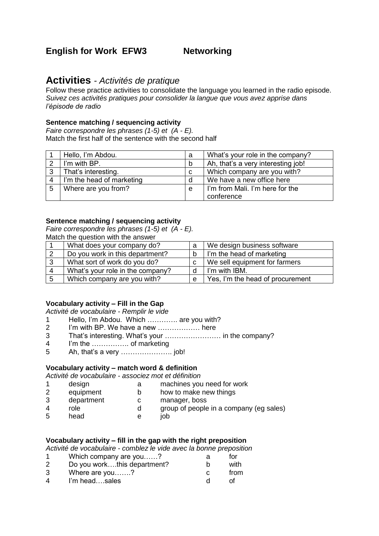# **English for Work EFW3 Networking**

# **Activities** *- Activités de pratique*

Follow these practice activities to consolidate the language you learned in the radio episode. *Suivez ces activités pratiques pour consolider la langue que vous avez apprise dans l'épisode de radio*

## **Sentence matching / sequencing activity**

*Faire correspondre les phrases (1-5) et (A - E).* Match the first half of the sentence with the second half

|   | Hello, I'm Abdou.         | a | What's your role in the company?   |  |
|---|---------------------------|---|------------------------------------|--|
|   | I'm with BP.              | b | Ah, that's a very interesting job! |  |
| 3 | That's interesting.       | C | Which company are you with?        |  |
| 4 | I'm the head of marketing | d | We have a new office here          |  |
| 5 | Where are you from?       | e | I'm from Mali. I'm here for the    |  |
|   |                           |   | conference                         |  |

## **Sentence matching / sequencing activity**

*Faire correspondre les phrases (1-5) et (A - E).* Match the question with the answer

|   | What does your company do?       | a  | We design business software      |
|---|----------------------------------|----|----------------------------------|
|   | Do you work in this department?  | b. | I'm the head of marketing        |
| ີ | What sort of work do you do?     |    | We sell equipment for farmers    |
|   | What's your role in the company? |    | I'm with IBM.                    |
|   | Which company are you with?      | e  | Yes, I'm the head of procurement |

# **Vocabulary activity – Fill in the Gap**

*Activité de vocabulaire - Remplir le vide*

- 1 Hello, I'm Abdou. Which …………. are you with?
- 2 I'm with BP. We have a new ……………… here
- 3 That's interesting. What's your …………………… in the company?
- 4 I'm the ……………. of marketing
- 5 Ah, that's a very …………………. job!

# **Vocabulary activity – match word & definition**

*Activité de vocabulaire - associez mot et définition*

| design |  | machines you need for work |  |
|--------|--|----------------------------|--|
|--------|--|----------------------------|--|

- 2 equipment b how to make new things
- 3 department c manager, boss
- 4 role d group of people in a company (eg sales)<br>5 head e iob
- 5 head e job

#### **Vocabulary activity – fill in the gap with the right preposition**

*Activité de vocabulaire - comblez le vide avec la bonne preposition*

| 1 | Which company are you?      | а | for  |
|---|-----------------------------|---|------|
| 2 | Do you workthis department? |   | with |
| 3 | Where are you?              |   | from |
| Δ | I'm headsales               |   |      |